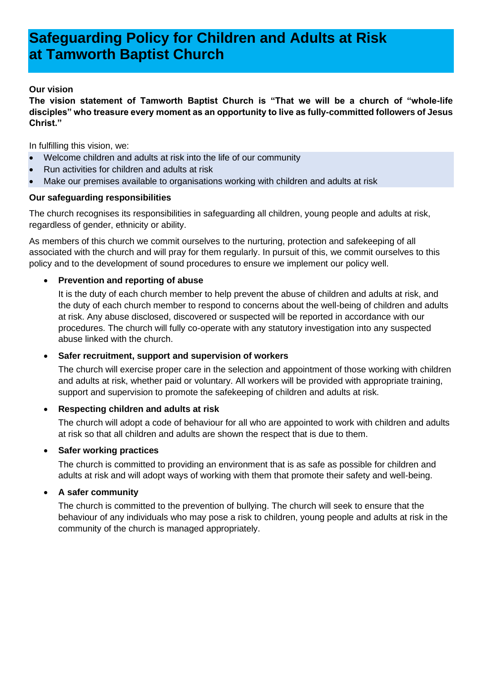# **Safeguarding Policy for Children and Adults at Risk at Tamworth Baptist Church**

## **Our vision**

**The vision statement of Tamworth Baptist Church is "That we will be a church of "whole-life disciples" who treasure every moment as an opportunity to live as fully-committed followers of Jesus Christ."**

In fulfilling this vision, we:

- Welcome children and adults at risk into the life of our community
- Run activities for children and adults at risk
- Make our premises available to organisations working with children and adults at risk

## **Our safeguarding responsibilities**

The church recognises its responsibilities in safeguarding all children, young people and adults at risk, regardless of gender, ethnicity or ability.

As members of this church we commit ourselves to the nurturing, protection and safekeeping of all associated with the church and will pray for them regularly. In pursuit of this, we commit ourselves to this policy and to the development of sound procedures to ensure we implement our policy well.

## • **Prevention and reporting of abuse**

It is the duty of each church member to help prevent the abuse of children and adults at risk, and the duty of each church member to respond to concerns about the well-being of children and adults at risk. Any abuse disclosed, discovered or suspected will be reported in accordance with our procedures. The church will fully co-operate with any statutory investigation into any suspected abuse linked with the church.

## • **Safer recruitment, support and supervision of workers**

The church will exercise proper care in the selection and appointment of those working with children and adults at risk, whether paid or voluntary. All workers will be provided with appropriate training, support and supervision to promote the safekeeping of children and adults at risk.

# • **Respecting children and adults at risk**

The church will adopt a code of behaviour for all who are appointed to work with children and adults at risk so that all children and adults are shown the respect that is due to them.

# • **Safer working practices**

The church is committed to providing an environment that is as safe as possible for children and adults at risk and will adopt ways of working with them that promote their safety and well-being.

## • **A safer community**

The church is committed to the prevention of bullying. The church will seek to ensure that the behaviour of any individuals who may pose a risk to children, young people and adults at risk in the community of the church is managed appropriately.